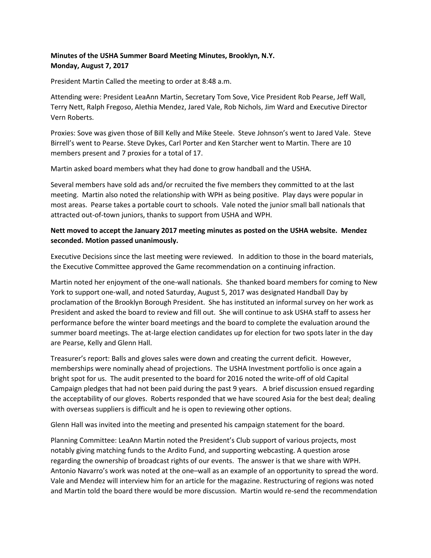## **Minutes of the USHA Summer Board Meeting Minutes, Brooklyn, N.Y. Monday, August 7, 2017**

President Martin Called the meeting to order at 8:48 a.m.

Attending were: President LeaAnn Martin, Secretary Tom Sove, Vice President Rob Pearse, Jeff Wall, Terry Nett, Ralph Fregoso, Alethia Mendez, Jared Vale, Rob Nichols, Jim Ward and Executive Director Vern Roberts.

Proxies: Sove was given those of Bill Kelly and Mike Steele. Steve Johnson's went to Jared Vale. Steve Birrell's went to Pearse. Steve Dykes, Carl Porter and Ken Starcher went to Martin. There are 10 members present and 7 proxies for a total of 17.

Martin asked board members what they had done to grow handball and the USHA.

Several members have sold ads and/or recruited the five members they committed to at the last meeting. Martin also noted the relationship with WPH as being positive. Play days were popular in most areas. Pearse takes a portable court to schools. Vale noted the junior small ball nationals that attracted out-of-town juniors, thanks to support from USHA and WPH.

## **Nett moved to accept the January 2017 meeting minutes as posted on the USHA website. Mendez seconded. Motion passed unanimously.**

Executive Decisions since the last meeting were reviewed. In addition to those in the board materials, the Executive Committee approved the Game recommendation on a continuing infraction.

Martin noted her enjoyment of the one-wall nationals. She thanked board members for coming to New York to support one-wall, and noted Saturday, August 5, 2017 was designated Handball Day by proclamation of the Brooklyn Borough President. She has instituted an informal survey on her work as President and asked the board to review and fill out. She will continue to ask USHA staff to assess her performance before the winter board meetings and the board to complete the evaluation around the summer board meetings. The at-large election candidates up for election for two spots later in the day are Pearse, Kelly and Glenn Hall.

Treasurer's report: Balls and gloves sales were down and creating the current deficit. However, memberships were nominally ahead of projections. The USHA Investment portfolio is once again a bright spot for us. The audit presented to the board for 2016 noted the write-off of old Capital Campaign pledges that had not been paid during the past 9 years. A brief discussion ensued regarding the acceptability of our gloves. Roberts responded that we have scoured Asia for the best deal; dealing with overseas suppliers is difficult and he is open to reviewing other options.

Glenn Hall was invited into the meeting and presented his campaign statement for the board.

Planning Committee: LeaAnn Martin noted the President's Club support of various projects, most notably giving matching funds to the Ardito Fund, and supporting webcasting. A question arose regarding the ownership of broadcast rights of our events. The answer is that we share with WPH. Antonio Navarro's work was noted at the one–wall as an example of an opportunity to spread the word. Vale and Mendez will interview him for an article for the magazine. Restructuring of regions was noted and Martin told the board there would be more discussion. Martin would re-send the recommendation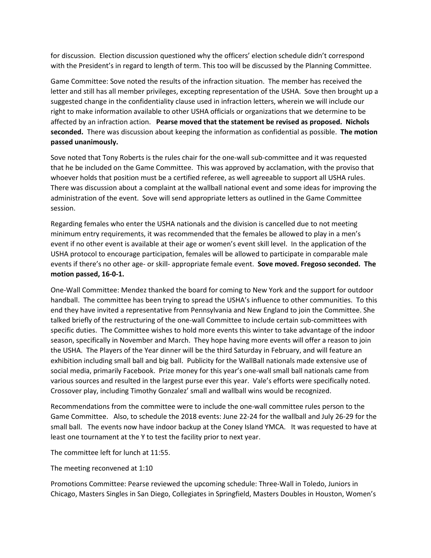for discussion. Election discussion questioned why the officers' election schedule didn't correspond with the President's in regard to length of term. This too will be discussed by the Planning Committee.

Game Committee: Sove noted the results of the infraction situation. The member has received the letter and still has all member privileges, excepting representation of the USHA. Sove then brought up a suggested change in the confidentiality clause used in infraction letters, wherein we will include our right to make information available to other USHA officials or organizations that we determine to be affected by an infraction action. **Pearse moved that the statement be revised as proposed. Nichols seconded.** There was discussion about keeping the information as confidential as possible. **The motion passed unanimously.** 

Sove noted that Tony Roberts is the rules chair for the one-wall sub-committee and it was requested that he be included on the Game Committee. This was approved by acclamation, with the proviso that whoever holds that position must be a certified referee, as well agreeable to support all USHA rules. There was discussion about a complaint at the wallball national event and some ideas for improving the administration of the event. Sove will send appropriate letters as outlined in the Game Committee session.

Regarding females who enter the USHA nationals and the division is cancelled due to not meeting minimum entry requirements, it was recommended that the females be allowed to play in a men's event if no other event is available at their age or women's event skill level. In the application of the USHA protocol to encourage participation, females will be allowed to participate in comparable male events if there's no other age- or skill- appropriate female event. **Sove moved. Fregoso seconded. The motion passed, 16-0-1.**

One-Wall Committee: Mendez thanked the board for coming to New York and the support for outdoor handball. The committee has been trying to spread the USHA's influence to other communities. To this end they have invited a representative from Pennsylvania and New England to join the Committee. She talked briefly of the restructuring of the one-wall Committee to include certain sub-committees with specific duties. The Committee wishes to hold more events this winter to take advantage of the indoor season, specifically in November and March. They hope having more events will offer a reason to join the USHA. The Players of the Year dinner will be the third Saturday in February, and will feature an exhibition including small ball and big ball. Publicity for the WallBall nationals made extensive use of social media, primarily Facebook. Prize money for this year's one-wall small ball nationals came from various sources and resulted in the largest purse ever this year. Vale's efforts were specifically noted. Crossover play, including Timothy Gonzalez' small and wallball wins would be recognized.

Recommendations from the committee were to include the one-wall committee rules person to the Game Committee. Also, to schedule the 2018 events: June 22-24 for the wallball and July 26-29 for the small ball. The events now have indoor backup at the Coney Island YMCA. It was requested to have at least one tournament at the Y to test the facility prior to next year.

The committee left for lunch at 11:55.

The meeting reconvened at 1:10

Promotions Committee: Pearse reviewed the upcoming schedule: Three-Wall in Toledo, Juniors in Chicago, Masters Singles in San Diego, Collegiates in Springfield, Masters Doubles in Houston, Women's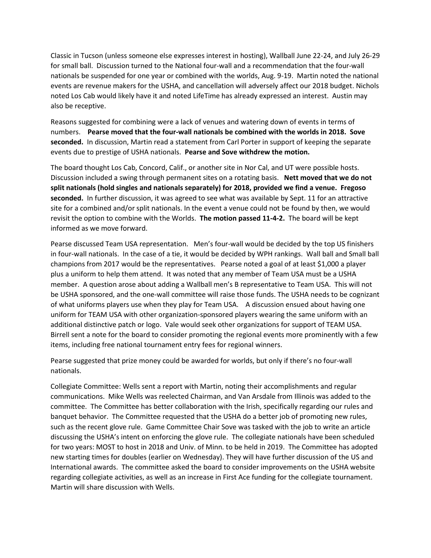Classic in Tucson (unless someone else expresses interest in hosting), Wallball June 22-24, and July 26-29 for small ball. Discussion turned to the National four-wall and a recommendation that the four-wall nationals be suspended for one year or combined with the worlds, Aug. 9-19. Martin noted the national events are revenue makers for the USHA, and cancellation will adversely affect our 2018 budget. Nichols noted Los Cab would likely have it and noted LifeTime has already expressed an interest. Austin may also be receptive.

Reasons suggested for combining were a lack of venues and watering down of events in terms of numbers. **Pearse moved that the four-wall nationals be combined with the worlds in 2018. Sove seconded.** In discussion, Martin read a statement from Carl Porter in support of keeping the separate events due to prestige of USHA nationals. **Pearse and Sove withdrew the motion.**

The board thought Los Cab, Concord, Calif., or another site in Nor Cal, and UT were possible hosts. Discussion included a swing through permanent sites on a rotating basis. **Nett moved that we do not split nationals (hold singles and nationals separately) for 2018, provided we find a venue. Fregoso seconded.** In further discussion, it was agreed to see what was available by Sept. 11 for an attractive site for a combined and/or split nationals. In the event a venue could not be found by then, we would revisit the option to combine with the Worlds. **The motion passed 11-4-2.** The board will be kept informed as we move forward.

Pearse discussed Team USA representation. Men's four-wall would be decided by the top US finishers in four-wall nationals. In the case of a tie, it would be decided by WPH rankings. Wall ball and Small ball champions from 2017 would be the representatives. Pearse noted a goal of at least \$1,000 a player plus a uniform to help them attend. It was noted that any member of Team USA must be a USHA member. A question arose about adding a Wallball men's B representative to Team USA. This will not be USHA sponsored, and the one-wall committee will raise those funds. The USHA needs to be cognizant of what uniforms players use when they play for Team USA. A discussion ensued about having one uniform for TEAM USA with other organization-sponsored players wearing the same uniform with an additional distinctive patch or logo. Vale would seek other organizations for support of TEAM USA. Birrell sent a note for the board to consider promoting the regional events more prominently with a few items, including free national tournament entry fees for regional winners.

Pearse suggested that prize money could be awarded for worlds, but only if there's no four-wall nationals.

Collegiate Committee: Wells sent a report with Martin, noting their accomplishments and regular communications. Mike Wells was reelected Chairman, and Van Arsdale from Illinois was added to the committee. The Committee has better collaboration with the Irish, specifically regarding our rules and banquet behavior. The Committee requested that the USHA do a better job of promoting new rules, such as the recent glove rule. Game Committee Chair Sove was tasked with the job to write an article discussing the USHA's intent on enforcing the glove rule. The collegiate nationals have been scheduled for two years: MOST to host in 2018 and Univ. of Minn. to be held in 2019. The Committee has adopted new starting times for doubles (earlier on Wednesday). They will have further discussion of the US and International awards. The committee asked the board to consider improvements on the USHA website regarding collegiate activities, as well as an increase in First Ace funding for the collegiate tournament. Martin will share discussion with Wells.